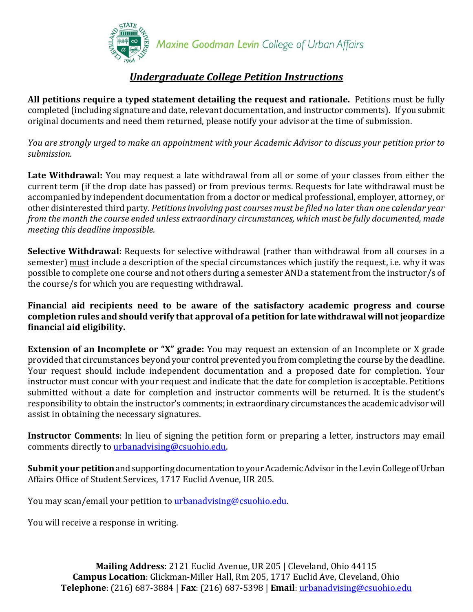

## *Undergraduate College Petition Instructions*

**All petitions require a typed statement detailing the request and rationale.** Petitions must be fully completed (including signature and date, relevant documentation, and instructor comments). If you submit original documents and need them returned, please notify your advisor at the time of submission.

*You are strongly urged to make an appointment with your Academic Advisor to discuss your petition prior to submission.*

**Late Withdrawal:** You may request a late withdrawal from all or some of your classes from either the current term (if the drop date has passed) or from previous terms. Requests for late withdrawal must be accompanied by independent documentation from a doctor or medical professional, employer, attorney, or other disinterested third party. *Petitions involving past courses must be filed no later than one calendar year from the month the course ended unless extraordinary circumstances, which must be fully documented, made meeting this deadline impossible.*

**Selective Withdrawal:** Requests for selective withdrawal (rather than withdrawal from all courses in a semester) must include a description of the special circumstances which justify the request, i.e. why it was possible to complete one course and not others during a semester AND a statement from the instructor/s of the course/s for which you are requesting withdrawal.

**Financial aid recipients need to be aware of the satisfactory academic progress and course completion rules and should verify that approval of a petition for late withdrawal will not jeopardize financial aid eligibility.**

**Extension of an Incomplete or "X" grade:** You may request an extension of an Incomplete or X grade provided that circumstances beyond your control prevented you from completing the course by the deadline. Your request should include independent documentation and a proposed date for completion. Your instructor must concur with your request and indicate that the date for completion is acceptable. Petitions submitted without a date for completion and instructor comments will be returned. It is the student's responsibility to obtain the instructor's comments; in extraordinary circumstances the academic advisor will assist in obtaining the necessary signatures.

**Instructor Comments**: In lieu of signing the petition form or preparing a letter, instructors may email comments directly to [urbanadvising@csuohio.edu.](mailto:urbanadvising@csuohio.edu)

**Submit your petition** and supporting documentation to your Academic Advisor in the Levin College of Urban Affairs Office of Student Services, 1717 Euclid Avenue, UR 205.

You may scan/email your petition to [urbanadvising@csuohio.edu.](mailto:urbanadvising@csuohio.edu)

You will receive a response in writing.

**Mailing Address**: 2121 Euclid Avenue, UR 205 | Cleveland, Ohio 44115 **Campus Location**: Glickman-Miller Hall, Rm 205, 1717 Euclid Ave, Cleveland, Ohio **Telephone**: (216) 687-3884 | **Fax**: (216) 687-5398 | **Email**[: urbanadvising@csuohio.edu](mailto:urbanadvising@csuohio.edu)